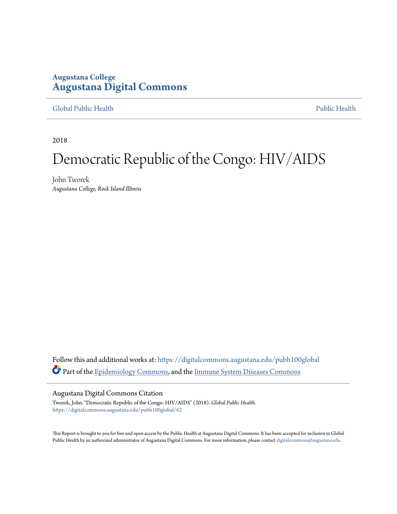## **Augustana College [Augustana Digital Commons](https://digitalcommons.augustana.edu?utm_source=digitalcommons.augustana.edu%2Fpubh100global%2F62&utm_medium=PDF&utm_campaign=PDFCoverPages)**

### [Global Public Health](https://digitalcommons.augustana.edu/pubh100global?utm_source=digitalcommons.augustana.edu%2Fpubh100global%2F62&utm_medium=PDF&utm_campaign=PDFCoverPages) [Public Health](https://digitalcommons.augustana.edu/publichealth?utm_source=digitalcommons.augustana.edu%2Fpubh100global%2F62&utm_medium=PDF&utm_campaign=PDFCoverPages)

2018

# Democratic Republic of the Congo: HIV/AIDS

John Tworek *Augustana College, Rock Island Illinois*

Follow this and additional works at: [https://digitalcommons.augustana.edu/pubh100global](https://digitalcommons.augustana.edu/pubh100global?utm_source=digitalcommons.augustana.edu%2Fpubh100global%2F62&utm_medium=PDF&utm_campaign=PDFCoverPages) Part of the [Epidemiology Commons](http://network.bepress.com/hgg/discipline/740?utm_source=digitalcommons.augustana.edu%2Fpubh100global%2F62&utm_medium=PDF&utm_campaign=PDFCoverPages), and the [Immune System Diseases Commons](http://network.bepress.com/hgg/discipline/933?utm_source=digitalcommons.augustana.edu%2Fpubh100global%2F62&utm_medium=PDF&utm_campaign=PDFCoverPages)

#### Augustana Digital Commons Citation

Tworek, John. "Democratic Republic of the Congo: HIV/AIDS" (2018). *Global Public Health.* [https://digitalcommons.augustana.edu/pubh100global/62](https://digitalcommons.augustana.edu/pubh100global/62?utm_source=digitalcommons.augustana.edu%2Fpubh100global%2F62&utm_medium=PDF&utm_campaign=PDFCoverPages)

This Report is brought to you for free and open access by the Public Health at Augustana Digital Commons. It has been accepted for inclusion in Global Public Health by an authorized administrator of Augustana Digital Commons. For more information, please contact [digitalcommons@augustana.edu.](mailto:digitalcommons@augustana.edu)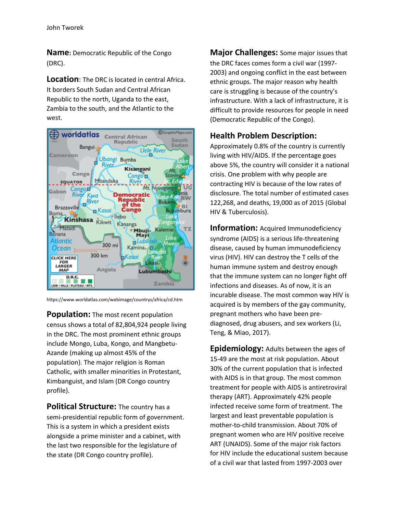**Name:** Democratic Republic of the Congo (DRC).

**Location**: The DRC is located in central Africa. It borders South Sudan and Central African Republic to the north, Uganda to the east, Zambia to the south, and the Atlantic to the west.



https://www.worldatlas.com/webimage/countrys/africa/cd.htm

**Population:** The most recent population census shows a total of 82,804,924 people living in the DRC. The most prominent ethnic groups include Mongo, Luba, Kongo, and Mangbetu-Azande (making up almost 45% of the population). The major religion is Roman Catholic, with smaller minorities in Protestant, Kimbanguist, and Islam (DR Congo country profile).

**Political Structure:** The country has a semi-presidential republic form of government. This is a system in which a president exists alongside a prime minister and a cabinet, with the last two responsible for the legislature of the state (DR Congo country profile).

**Major Challenges:** Some major issues that the DRC faces comes form a civil war (1997- 2003) and ongoing conflict in the east between ethnic groups. The major reason why health care is struggling is because of the country's infrastructure. With a lack of infrastructure, it is difficult to provide resources for people in need (Democratic Republic of the Congo).

## **Health Problem Description:**

Approximately 0.8% of the country is currently living with HIV/AIDS. If the percentage goes above 5%, the country will consider it a national crisis. One problem with why people are contracting HIV is because of the low rates of disclosure. The total number of estimated cases 122,268, and deaths, 19,000 as of 2015 (Global HIV & Tuberculosis).

**Information:** Acquired Immunodeficiency syndrome (AIDS) is a serious life-threatening disease, caused by human immunodeficiency virus (HIV). HIV can destroy the T cells of the human immune system and destroy enough that the immune system can no longer fight off infections and diseases. As of now, it is an incurable disease. The most common way HIV is acquired is by members of the gay community, pregnant mothers who have been prediagnosed, drug abusers, and sex workers (Li, Teng, & Miao, 2017).

**Epidemiology:** Adults between the ages of 15-49 are the most at risk population. About 30% of the current population that is infected with AIDS is in that group. The most common treatment for people with AIDS is antiretroviral therapy (ART). Approximately 42% people infected receive some form of treatment. The largest and least preventable population is mother-to-child transmission. About 70% of pregnant women who are HIV positive receive ART (UNAIDS). Some of the major risk factors for HIV include the educational sustem because of a civil war that lasted from 1997-2003 over